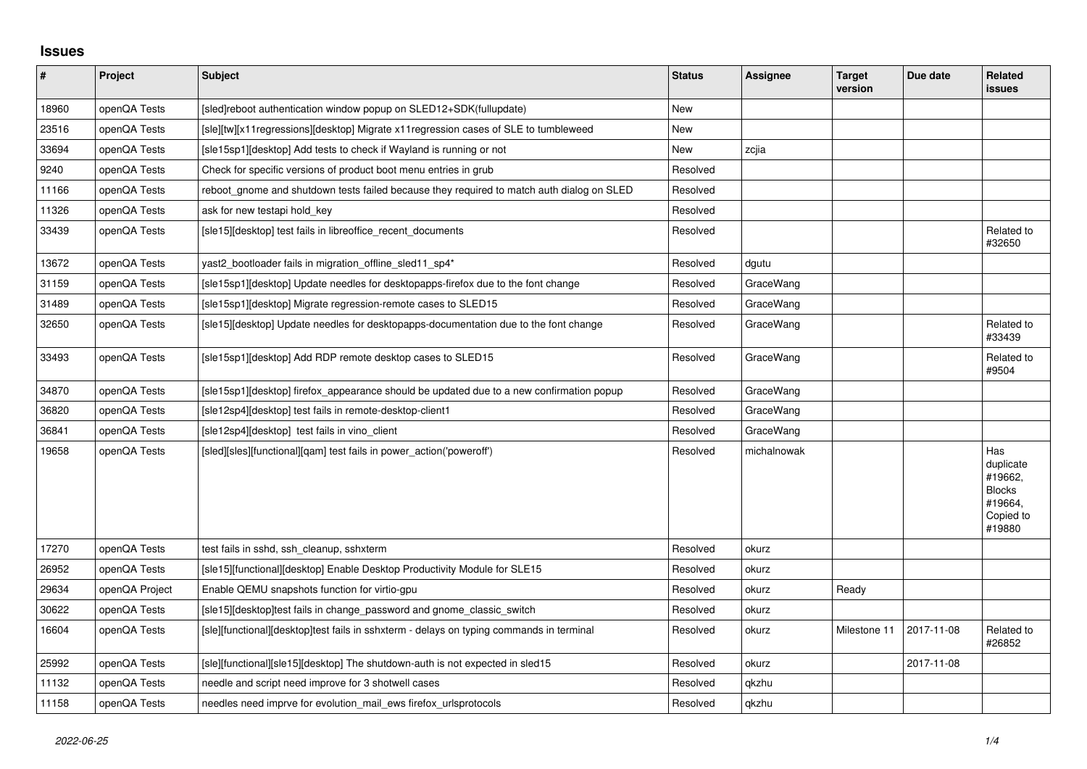## **Issues**

| $\sharp$ | Project        | Subject                                                                                   | <b>Status</b> | Assignee    | <b>Target</b><br>version | Due date   | Related<br><b>issues</b>                                                       |
|----------|----------------|-------------------------------------------------------------------------------------------|---------------|-------------|--------------------------|------------|--------------------------------------------------------------------------------|
| 18960    | openQA Tests   | [sled]reboot authentication window popup on SLED12+SDK(fullupdate)                        | New           |             |                          |            |                                                                                |
| 23516    | openQA Tests   | [sle][tw][x11regressions][desktop] Migrate x11regression cases of SLE to tumbleweed       | New           |             |                          |            |                                                                                |
| 33694    | openQA Tests   | [sle15sp1][desktop] Add tests to check if Wayland is running or not                       | New           | zcjia       |                          |            |                                                                                |
| 9240     | openQA Tests   | Check for specific versions of product boot menu entries in grub                          | Resolved      |             |                          |            |                                                                                |
| 11166    | openQA Tests   | reboot_gnome and shutdown tests failed because they required to match auth dialog on SLED | Resolved      |             |                          |            |                                                                                |
| 11326    | openQA Tests   | ask for new testapi hold key                                                              | Resolved      |             |                          |            |                                                                                |
| 33439    | openQA Tests   | [sle15][desktop] test fails in libreoffice_recent_documents                               | Resolved      |             |                          |            | Related to<br>#32650                                                           |
| 13672    | openQA Tests   | yast2_bootloader fails in migration_offline_sled11_sp4*                                   | Resolved      | dgutu       |                          |            |                                                                                |
| 31159    | openQA Tests   | [sle15sp1][desktop] Update needles for desktopapps-firefox due to the font change         | Resolved      | GraceWang   |                          |            |                                                                                |
| 31489    | openQA Tests   | [sle15sp1][desktop] Migrate regression-remote cases to SLED15                             | Resolved      | GraceWang   |                          |            |                                                                                |
| 32650    | openQA Tests   | [sle15][desktop] Update needles for desktopapps-documentation due to the font change      | Resolved      | GraceWang   |                          |            | Related to<br>#33439                                                           |
| 33493    | openQA Tests   | [sle15sp1][desktop] Add RDP remote desktop cases to SLED15                                | Resolved      | GraceWang   |                          |            | Related to<br>#9504                                                            |
| 34870    | openQA Tests   | [sle15sp1][desktop] firefox_appearance should be updated due to a new confirmation popup  | Resolved      | GraceWang   |                          |            |                                                                                |
| 36820    | openQA Tests   | [sle12sp4][desktop] test fails in remote-desktop-client1                                  | Resolved      | GraceWang   |                          |            |                                                                                |
| 36841    | openQA Tests   | [sle12sp4][desktop] test fails in vino client                                             | Resolved      | GraceWang   |                          |            |                                                                                |
| 19658    | openQA Tests   | [sled][sles][functional][gam] test fails in power action('poweroff')                      | Resolved      | michalnowak |                          |            | Has<br>duplicate<br>#19662,<br><b>Blocks</b><br>#19664.<br>Copied to<br>#19880 |
| 17270    | openQA Tests   | test fails in sshd, ssh cleanup, sshxterm                                                 | Resolved      | okurz       |                          |            |                                                                                |
| 26952    | openQA Tests   | [sle15][functional][desktop] Enable Desktop Productivity Module for SLE15                 | Resolved      | okurz       |                          |            |                                                                                |
| 29634    | openQA Project | Enable QEMU snapshots function for virtio-gpu                                             | Resolved      | okurz       | Ready                    |            |                                                                                |
| 30622    | openQA Tests   | [sle15][desktop]test fails in change password and gnome classic switch                    | Resolved      | okurz       |                          |            |                                                                                |
| 16604    | openQA Tests   | [sle][functional][desktop]test fails in sshxterm - delays on typing commands in terminal  | Resolved      | okurz       | Milestone 11             | 2017-11-08 | Related to<br>#26852                                                           |
| 25992    | openQA Tests   | [sle][functional][sle15][desktop] The shutdown-auth is not expected in sled15             | Resolved      | okurz       |                          | 2017-11-08 |                                                                                |
| 11132    | openQA Tests   | needle and script need improve for 3 shotwell cases                                       | Resolved      | qkzhu       |                          |            |                                                                                |
| 11158    | openQA Tests   | needles need imprve for evolution mail ews firefox urlsprotocols                          | Resolved      | qkzhu       |                          |            |                                                                                |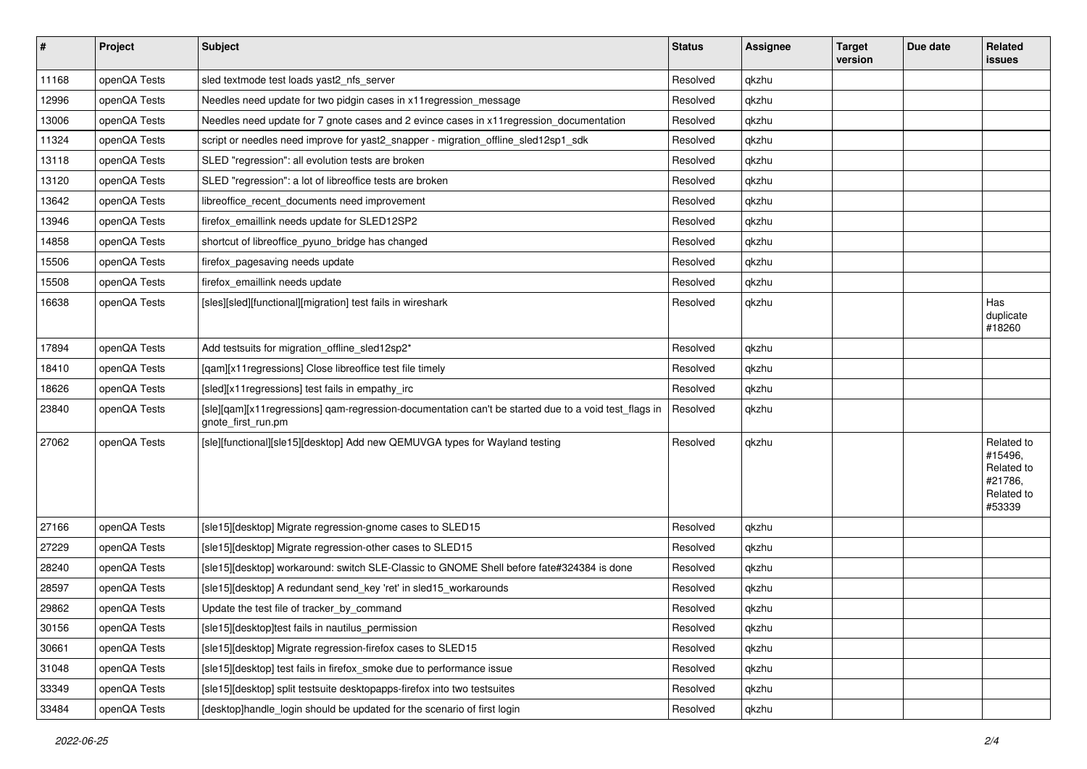| $\pmb{\#}$ | Project      | Subject                                                                                                                    | <b>Status</b> | Assignee | <b>Target</b><br>version | Due date | Related<br><b>issues</b>                                               |
|------------|--------------|----------------------------------------------------------------------------------------------------------------------------|---------------|----------|--------------------------|----------|------------------------------------------------------------------------|
| 11168      | openQA Tests | sled textmode test loads yast2_nfs_server                                                                                  | Resolved      | qkzhu    |                          |          |                                                                        |
| 12996      | openQA Tests | Needles need update for two pidgin cases in x11 regression message                                                         | Resolved      | qkzhu    |                          |          |                                                                        |
| 13006      | openQA Tests | Needles need update for 7 gnote cases and 2 evince cases in x11 regression_documentation                                   | Resolved      | qkzhu    |                          |          |                                                                        |
| 11324      | openQA Tests | script or needles need improve for yast2_snapper - migration_offline_sled12sp1_sdk                                         | Resolved      | qkzhu    |                          |          |                                                                        |
| 13118      | openQA Tests | SLED "regression": all evolution tests are broken                                                                          | Resolved      | qkzhu    |                          |          |                                                                        |
| 13120      | openQA Tests | SLED "regression": a lot of libreoffice tests are broken                                                                   | Resolved      | qkzhu    |                          |          |                                                                        |
| 13642      | openQA Tests | libreoffice recent documents need improvement                                                                              | Resolved      | qkzhu    |                          |          |                                                                        |
| 13946      | openQA Tests | firefox_emaillink needs update for SLED12SP2                                                                               | Resolved      | qkzhu    |                          |          |                                                                        |
| 14858      | openQA Tests | shortcut of libreoffice_pyuno_bridge has changed                                                                           | Resolved      | qkzhu    |                          |          |                                                                        |
| 15506      | openQA Tests | firefox_pagesaving needs update                                                                                            | Resolved      | qkzhu    |                          |          |                                                                        |
| 15508      | openQA Tests | firefox_emaillink needs update                                                                                             | Resolved      | qkzhu    |                          |          |                                                                        |
| 16638      | openQA Tests | [sles][sled][functional][migration] test fails in wireshark                                                                | Resolved      | qkzhu    |                          |          | Has<br>duplicate<br>#18260                                             |
| 17894      | openQA Tests | Add testsuits for migration offline sled12sp2*                                                                             | Resolved      | qkzhu    |                          |          |                                                                        |
| 18410      | openQA Tests | [qam][x11 regressions] Close libreoffice test file timely                                                                  | Resolved      | qkzhu    |                          |          |                                                                        |
| 18626      | openQA Tests | [sled][x11 regressions] test fails in empathy_irc                                                                          | Resolved      | qkzhu    |                          |          |                                                                        |
| 23840      | openQA Tests | [sle][qam][x11regressions] qam-regression-documentation can't be started due to a void test_flags in<br>gnote_first_run.pm | Resolved      | qkzhu    |                          |          |                                                                        |
| 27062      | openQA Tests | [sle][functional][sle15][desktop] Add new QEMUVGA types for Wayland testing                                                | Resolved      | qkzhu    |                          |          | Related to<br>#15496,<br>Related to<br>#21786.<br>Related to<br>#53339 |
| 27166      | openQA Tests | [sle15][desktop] Migrate regression-gnome cases to SLED15                                                                  | Resolved      | qkzhu    |                          |          |                                                                        |
| 27229      | openQA Tests | [sle15][desktop] Migrate regression-other cases to SLED15                                                                  | Resolved      | qkzhu    |                          |          |                                                                        |
| 28240      | openQA Tests | [sle15][desktop] workaround: switch SLE-Classic to GNOME Shell before fate#324384 is done                                  | Resolved      | qkzhu    |                          |          |                                                                        |
| 28597      | openQA Tests | [sle15][desktop] A redundant send_key 'ret' in sled15_workarounds                                                          | Resolved      | qkzhu    |                          |          |                                                                        |
| 29862      | openQA Tests | Update the test file of tracker by command                                                                                 | Resolved      | qkzhu    |                          |          |                                                                        |
| 30156      | openQA Tests | [sle15][desktop]test fails in nautilus_permission                                                                          | Resolved      | qkzhu    |                          |          |                                                                        |
| 30661      | openQA Tests | [sle15][desktop] Migrate regression-firefox cases to SLED15                                                                | Resolved      | qkzhu    |                          |          |                                                                        |
| 31048      | openQA Tests | [sle15][desktop] test fails in firefox_smoke due to performance issue                                                      | Resolved      | qkzhu    |                          |          |                                                                        |
| 33349      | openQA Tests | [sle15][desktop] split testsuite desktopapps-firefox into two testsuites                                                   | Resolved      | qkzhu    |                          |          |                                                                        |
| 33484      | openQA Tests | [desktop]handle_login should be updated for the scenario of first login                                                    | Resolved      | qkzhu    |                          |          |                                                                        |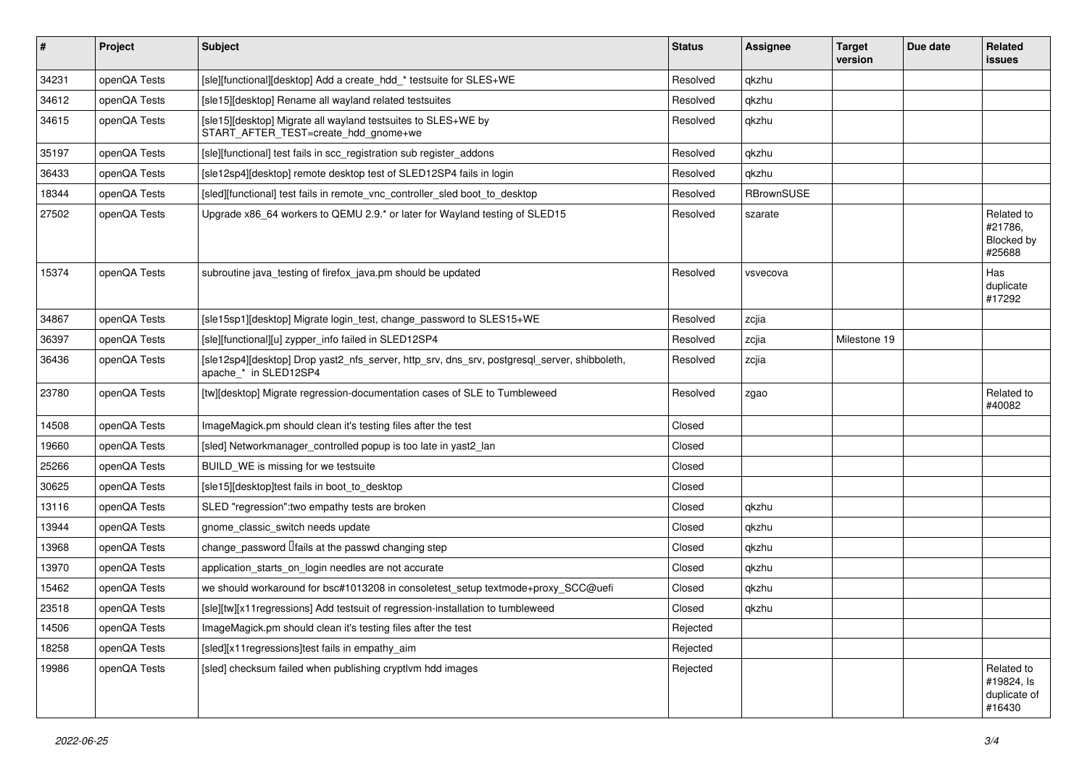| $\vert$ # | Project      | <b>Subject</b>                                                                                                        | <b>Status</b> | Assignee   | <b>Target</b><br>version | Due date | Related<br><b>issues</b>                           |
|-----------|--------------|-----------------------------------------------------------------------------------------------------------------------|---------------|------------|--------------------------|----------|----------------------------------------------------|
| 34231     | openQA Tests | [sle][functional][desktop] Add a create hdd * testsuite for SLES+WE                                                   | Resolved      | gkzhu      |                          |          |                                                    |
| 34612     | openQA Tests | [sle15][desktop] Rename all wayland related testsuites                                                                | Resolved      | qkzhu      |                          |          |                                                    |
| 34615     | openQA Tests | [sle15][desktop] Migrate all wayland testsuites to SLES+WE by<br>START_AFTER_TEST=create_hdd_gnome+we                 | Resolved      | qkzhu      |                          |          |                                                    |
| 35197     | openQA Tests | [sle][functional] test fails in scc registration sub register addons                                                  | Resolved      | qkzhu      |                          |          |                                                    |
| 36433     | openQA Tests | [sle12sp4][desktop] remote desktop test of SLED12SP4 fails in login                                                   | Resolved      | qkzhu      |                          |          |                                                    |
| 18344     | openQA Tests | [sled][functional] test fails in remote vnc controller sled boot to desktop                                           | Resolved      | RBrownSUSE |                          |          |                                                    |
| 27502     | openQA Tests | Upgrade x86_64 workers to QEMU 2.9.* or later for Wayland testing of SLED15                                           | Resolved      | szarate    |                          |          | Related to<br>#21786.<br>Blocked by<br>#25688      |
| 15374     | openQA Tests | subroutine java testing of firefox java.pm should be updated                                                          | Resolved      | vsvecova   |                          |          | Has<br>duplicate<br>#17292                         |
| 34867     | openQA Tests | [sle15sp1][desktop] Migrate login_test, change_password to SLES15+WE                                                  | Resolved      | zcjia      |                          |          |                                                    |
| 36397     | openQA Tests | [sle][functional][u] zypper_info failed in SLED12SP4                                                                  | Resolved      | zcjia      | Milestone 19             |          |                                                    |
| 36436     | openQA Tests | [sle12sp4][desktop] Drop yast2_nfs_server, http_srv, dns_srv, postgresql_server, shibboleth,<br>apache_* in SLED12SP4 | Resolved      | zcjia      |                          |          |                                                    |
| 23780     | openQA Tests | [tw][desktop] Migrate regression-documentation cases of SLE to Tumbleweed                                             | Resolved      | zgao       |                          |          | Related to<br>#40082                               |
| 14508     | openQA Tests | ImageMagick.pm should clean it's testing files after the test                                                         | Closed        |            |                          |          |                                                    |
| 19660     | openQA Tests | [sled] Networkmanager_controlled popup is too late in yast2_lan                                                       | Closed        |            |                          |          |                                                    |
| 25266     | openQA Tests | BUILD_WE is missing for we testsuite                                                                                  | Closed        |            |                          |          |                                                    |
| 30625     | openQA Tests | [sle15][desktop]test fails in boot to desktop                                                                         | Closed        |            |                          |          |                                                    |
| 13116     | openQA Tests | SLED "regression": two empathy tests are broken                                                                       | Closed        | qkzhu      |                          |          |                                                    |
| 13944     | openQA Tests | gnome_classic_switch needs update                                                                                     | Closed        | qkzhu      |                          |          |                                                    |
| 13968     | openQA Tests | change password <i>Ifails</i> at the passwd changing step                                                             | Closed        | qkzhu      |                          |          |                                                    |
| 13970     | openQA Tests | application_starts_on_login needles are not accurate                                                                  | Closed        | qkzhu      |                          |          |                                                    |
| 15462     | openQA Tests | we should workaround for bsc#1013208 in consoletest_setup textmode+proxy_SCC@uefi                                     | Closed        | qkzhu      |                          |          |                                                    |
| 23518     | openQA Tests | [sle][tw][x11regressions] Add testsuit of regression-installation to tumbleweed                                       | Closed        | qkzhu      |                          |          |                                                    |
| 14506     | openQA Tests | ImageMagick.pm should clean it's testing files after the test                                                         | Rejected      |            |                          |          |                                                    |
| 18258     | openQA Tests | [sled][x11 regressions]test fails in empathy_aim                                                                      | Rejected      |            |                          |          |                                                    |
| 19986     | openQA Tests | [sled] checksum failed when publishing cryptlym hdd images                                                            | Rejected      |            |                          |          | Related to<br>#19824, Is<br>duplicate of<br>#16430 |